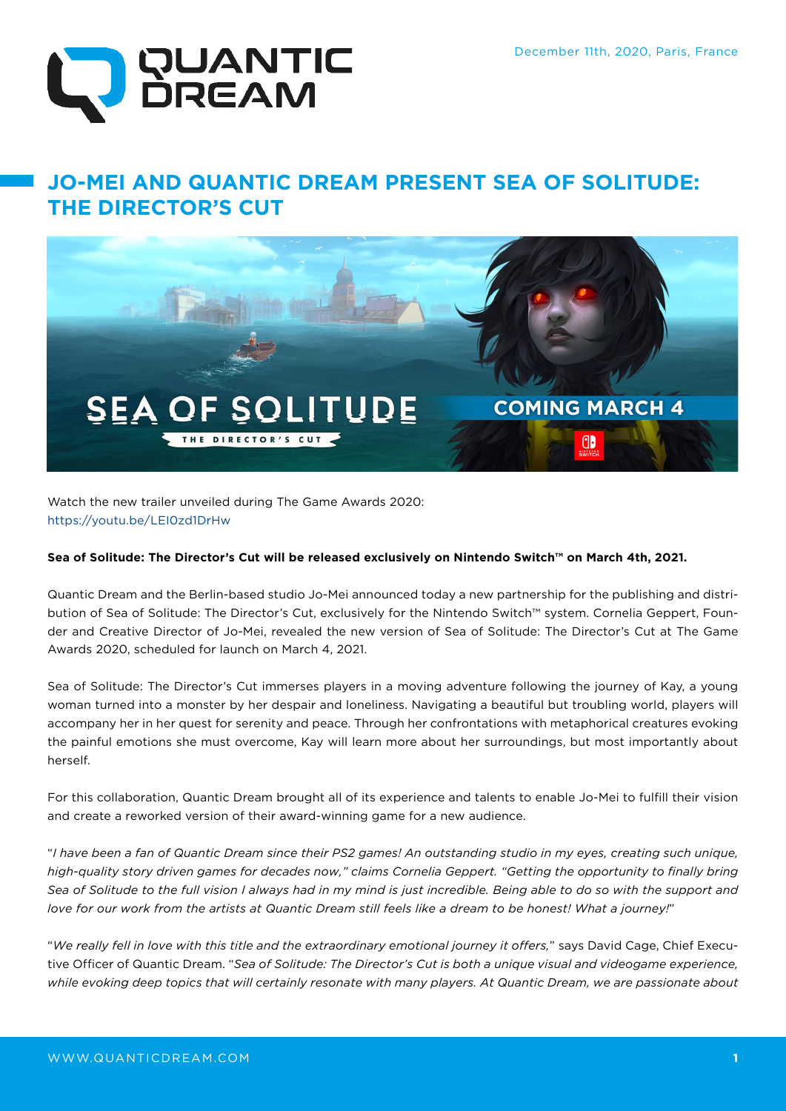

# **JO-MEI AND QUANTIC DREAM PRESENT SEA OF SOLITUDE: THE DIRECTOR'S CUT**



Watch the new trailer unveiled during The Game Awards 2020: https://youtu.be/LEI0zd1DrHw

### **Sea of Solitude: The Director's Cut will be released exclusively on Nintendo Switch™ on March 4th, 2021.**

Quantic Dream and the Berlin-based studio Jo-Mei announced today a new partnership for the publishing and distribution of Sea of Solitude: The Director's Cut, exclusively for the Nintendo Switch™ system. Cornelia Geppert, Founder and Creative Director of Jo-Mei, revealed the new version of Sea of Solitude: The Director's Cut at The Game Awards 2020, scheduled for launch on March 4, 2021.

Sea of Solitude: The Director's Cut immerses players in a moving adventure following the journey of Kay, a young woman turned into a monster by her despair and loneliness. Navigating a beautiful but troubling world, players will accompany her in her quest for serenity and peace. Through her confrontations with metaphorical creatures evoking the painful emotions she must overcome, Kay will learn more about her surroundings, but most importantly about herself.

For this collaboration, Quantic Dream brought all of its experience and talents to enable Jo-Mei to fulfill their vision and create a reworked version of their award-winning game for a new audience.

"*I have been a fan of Quantic Dream since their PS2 games! An outstanding studio in my eyes, creating such unique, high-quality story driven games for decades now," claims Cornelia Geppert. "Getting the opportunity to finally bring Sea of Solitude to the full vision I always had in my mind is just incredible. Being able to do so with the support and love for our work from the artists at Quantic Dream still feels like a dream to be honest! What a journey!*"

"*We really fell in love with this title and the extraordinary emotional journey it offers,*" says David Cage, Chief Executive Officer of Quantic Dream. "*Sea of Solitude: The Director's Cut is both a unique visual and videogame experience, while evoking deep topics that will certainly resonate with many players. At Quantic Dream, we are passionate about*